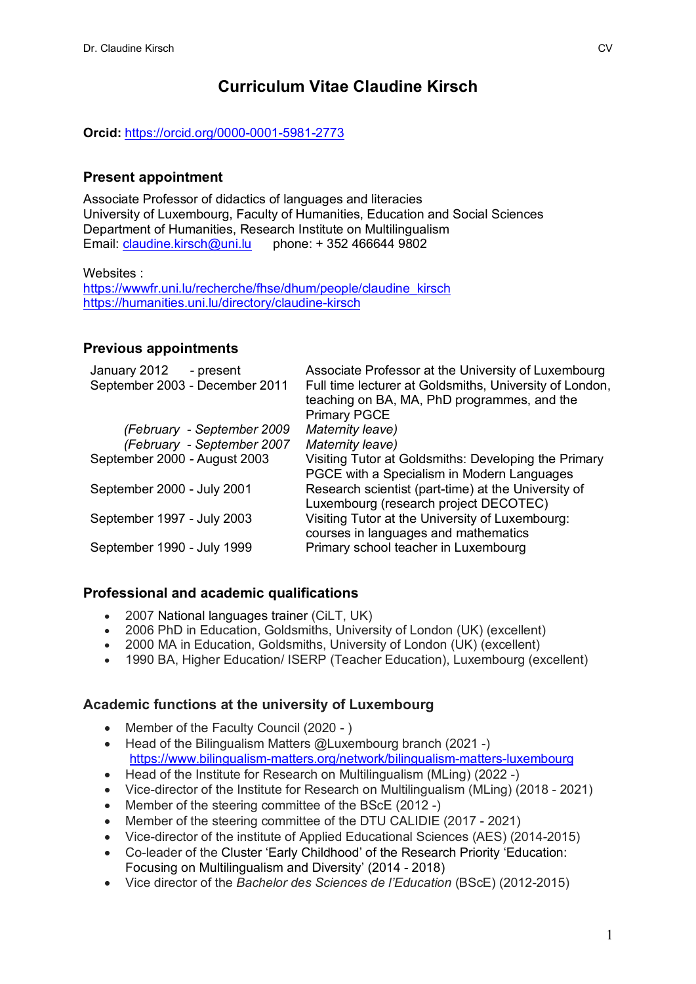# **Curriculum Vitae Claudine Kirsch**

**Orcid:** https://orcid.org/0000-0001-5981-2773

### **Present appointment**

Associate Professor of didactics of languages and literacies University of Luxembourg, Faculty of Humanities, Education and Social Sciences Department of Humanities, Research Institute on Multilingualism Email: claudine.kirsch@uni.lu phone: + 352 466644 9802

Websites :

https://wwwfr.uni.lu/recherche/fhse/dhum/people/claudine\_kirsch https://humanities.uni.lu/directory/claudine-kirsch

#### **Previous appointments**

| January 2012<br>- present      | Associate Professor at the University of Luxembourg     |
|--------------------------------|---------------------------------------------------------|
| September 2003 - December 2011 | Full time lecturer at Goldsmiths, University of London, |
|                                | teaching on BA, MA, PhD programmes, and the             |
|                                | <b>Primary PGCE</b>                                     |
| (February - September 2009     | Maternity leave)                                        |
| (February - September 2007     | Maternity leave)                                        |
| September 2000 - August 2003   | Visiting Tutor at Goldsmiths: Developing the Primary    |
|                                | PGCE with a Specialism in Modern Languages              |
| September 2000 - July 2001     | Research scientist (part-time) at the University of     |
|                                | Luxembourg (research project DECOTEC)                   |
| September 1997 - July 2003     | Visiting Tutor at the University of Luxembourg:         |
|                                | courses in languages and mathematics                    |
| September 1990 - July 1999     | Primary school teacher in Luxembourg                    |

#### **Professional and academic qualifications**

- 2007 National languages trainer (CiLT, UK)
- 2006 PhD in Education, Goldsmiths, University of London (UK) (excellent)
- 2000 MA in Education, Goldsmiths, University of London (UK) (excellent)
- 1990 BA, Higher Education/ ISERP (Teacher Education), Luxembourg (excellent)

#### **Academic functions at the university of Luxembourg**

- Member of the Faculty Council (2020 )
- Head of the Bilingualism Matters @Luxembourg branch (2021 -) https://www.bilingualism-matters.org/network/bilingualism-matters-luxembourg
- Head of the Institute for Research on Multilingualism (MLing) (2022 -)
- Vice-director of the Institute for Research on Multilingualism (MLing) (2018 2021)
- Member of the steering committee of the BScE (2012 -)
- Member of the steering committee of the DTU CALIDIE (2017 2021)
- Vice-director of the institute of Applied Educational Sciences (AES) (2014-2015)
- Co-leader of the Cluster 'Early Childhood' of the Research Priority 'Education: Focusing on Multilingualism and Diversity' (2014 - 2018)
- Vice director of the *Bachelor des Sciences de l'Education* (BScE) (2012-2015)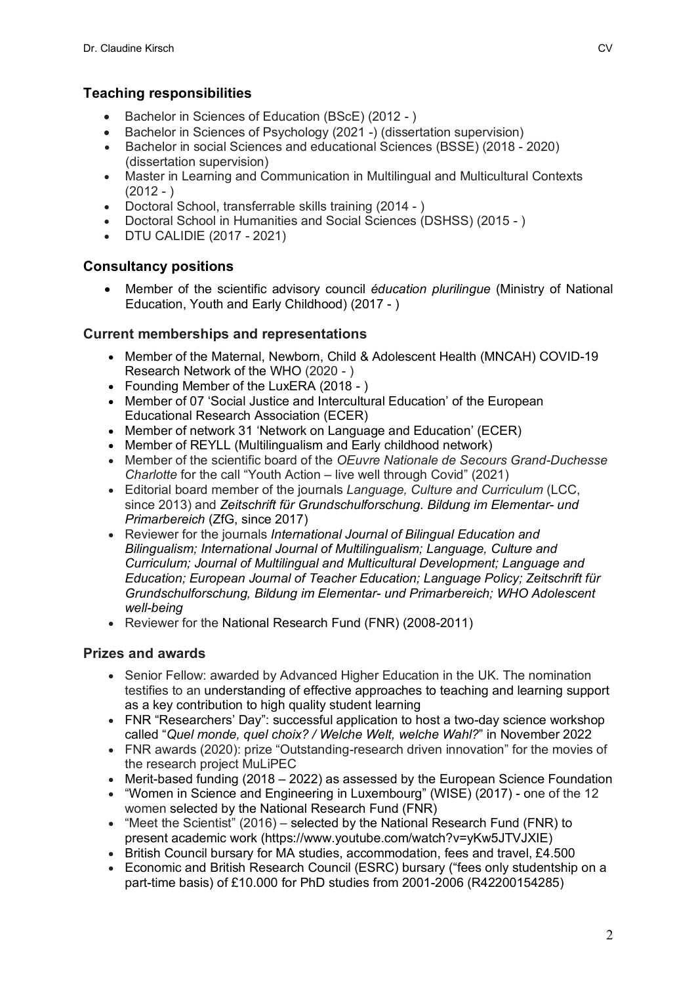# **Teaching responsibilities**

- Bachelor in Sciences of Education (BScE) (2012 )
- Bachelor in Sciences of Psychology (2021 -) (dissertation supervision)
- Bachelor in social Sciences and educational Sciences (BSSE) (2018 2020) (dissertation supervision)
- Naster in Learning and Communication in Multilingual and Multicultural Contexts  $(2012 - )$
- Doctoral School, transferrable skills training (2014 )
- Doctoral School in Humanities and Social Sciences (DSHSS) (2015 )
- DTU CALIDIE (2017 2021)

### **Consultancy positions**

• Member of the scientific advisory council *éducation plurilingue* (Ministry of National Education, Youth and Early Childhood) (2017 - )

### **Current memberships and representations**

- Member of the Maternal, Newborn, Child & Adolescent Health (MNCAH) COVID-19 Research Network of the WHO (2020 - )
- Founding Member of the LuxERA (2018 )
- Member of 07 'Social Justice and Intercultural Education' of the European Educational Research Association (ECER)
- Member of network 31 'Network on Language and Education' (ECER)
- Member of REYLL (Multilingualism and Early childhood network)
- Member of the scientific board of the *OEuvre Nationale de Secours Grand-Duchesse Charlotte* for the call "Youth Action – live well through Covid" (2021)
- Editorial board member of the journals *Language, Culture and Curriculum* (LCC, since 2013) and *Zeitschrift für Grundschulforschung. Bildung im Elementar- und Primarbereich* (ZfG, since 2017)
- Reviewer for the journals *International Journal of Bilingual Education and Bilingualism; International Journal of Multilingualism; Language, Culture and Curriculum; Journal of Multilingual and Multicultural Development; Language and Education; European Journal of Teacher Education; Language Policy; Zeitschrift für Grundschulforschung, Bildung im Elementar- und Primarbereich; WHO Adolescent well-being*
- Reviewer for the National Research Fund (FNR) (2008-2011)

### **Prizes and awards**

- Senior Fellow: awarded by Advanced Higher Education in the UK. The nomination testifies to an understanding of effective approaches to teaching and learning support as a key contribution to high quality student learning
- FNR "Researchers' Day": successful application to host a two-day science workshop called "*Quel monde, quel choix? / Welche Welt, welche Wahl?*" in November 2022
- FNR awards (2020): prize "Outstanding-research driven innovation" for the movies of the research project MuLiPEC
- Merit-based funding (2018 2022) as assessed by the European Science Foundation
- "Women in Science and Engineering in Luxembourg" (WISE) (2017) one of the 12 women selected by the National Research Fund (FNR)
- "Meet the Scientist" (2016) selected by the National Research Fund (FNR) to present academic work (https://www.youtube.com/watch?v=yKw5JTVJXIE)
- British Council bursary for MA studies, accommodation, fees and travel, £4,500
- Economic and British Research Council (ESRC) bursary ("fees only studentship on a part-time basis) of £10.000 for PhD studies from 2001-2006 (R42200154285)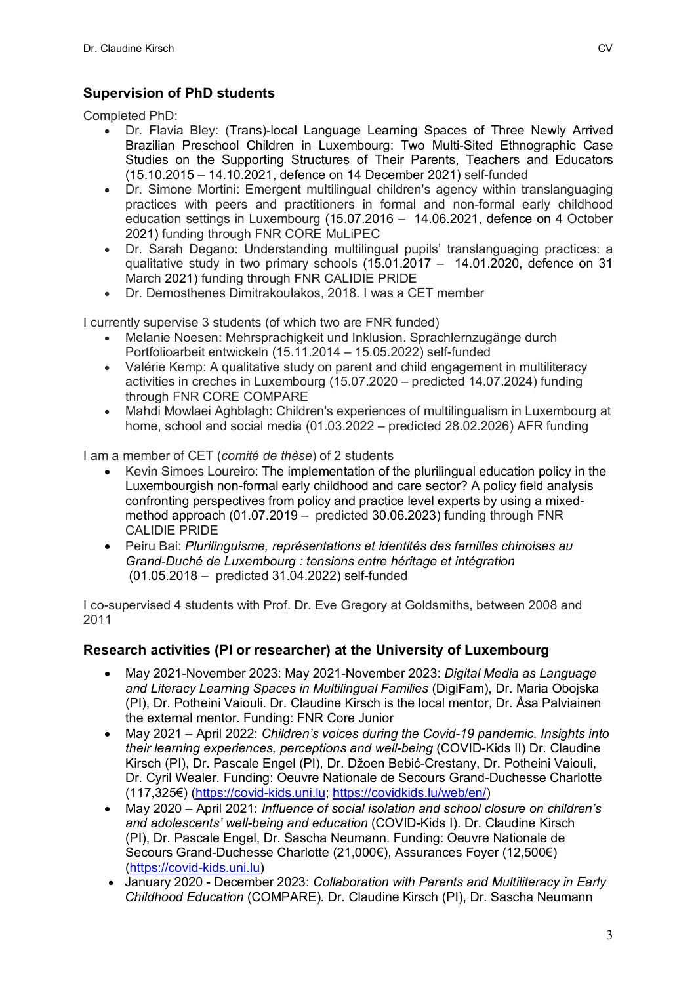# **Supervision of PhD students**

Completed PhD:

- Dr. Flavia Bley: (Trans)-local Language Learning Spaces of Three Newly Arrived Brazilian Preschool Children in Luxembourg: Two Multi-Sited Ethnographic Case Studies on the Supporting Structures of Their Parents, Teachers and Educators (15.10.2015 – 14.10.2021, defence on 14 December 2021) self-funded
- Dr. Simone Mortini: Emergent multilingual children's agency within translanguaging practices with peers and practitioners in formal and non-formal early childhood education settings in Luxembourg (15.07.2016 – 14.06.2021, defence on 4 October 2021) funding through FNR CORE MuLiPEC
- Dr. Sarah Degano: Understanding multilingual pupils' translanguaging practices: a qualitative study in two primary schools (15.01.2017 – 14.01.2020, defence on 31 March 2021) funding through FNR CALIDIE PRIDE
- Dr. Demosthenes Dimitrakoulakos, 2018. I was a CET member

I currently supervise 3 students (of which two are FNR funded)

- Melanie Noesen: Mehrsprachigkeit und Inklusion. Sprachlernzugänge durch Portfolioarbeit entwickeln (15.11.2014 – 15.05.2022) self-funded
- Valérie Kemp: A qualitative study on parent and child engagement in multiliteracy activities in creches in Luxembourg (15.07.2020 – predicted 14.07.2024) funding through FNR CORE COMPARE
- Mahdi Mowlaei Aghblagh: Children's experiences of multilingualism in Luxembourg at home, school and social media (01.03.2022 – predicted 28.02.2026) AFR funding

I am a member of CET (*comité de thèse*) of 2 students

- Kevin Simoes Loureiro: The implementation of the plurilingual education policy in the Luxembourgish non-formal early childhood and care sector? A policy field analysis confronting perspectives from policy and practice level experts by using a mixedmethod approach (01.07.2019 – predicted 30.06.2023) funding through FNR CALIDIE PRIDE
- Peiru Bai: *Plurilinguisme, représentations et identités des familles chinoises au Grand-Duché de Luxembourg : tensions entre héritage et intégration* (01.05.2018 – predicted 31.04.2022) self-funded

I co-supervised 4 students with Prof. Dr. Eve Gregory at Goldsmiths, between 2008 and 2011

### **Research activities (PI or researcher) at the University of Luxembourg**

- May 2021-November 2023: May 2021-November 2023: *Digital Media as Language and Literacy Learning Spaces in Multilingual Families* (DigiFam), Dr. Maria Obojska (PI), Dr. Potheini Vaiouli. Dr. Claudine Kirsch is the local mentor, Dr. Åsa Palviainen the external mentor. Funding: FNR Core Junior
- May 2021 April 2022: *Children's voices during the Covid-19 pandemic. Insights into their learning experiences, perceptions and well-being* (COVID-Kids II) Dr. Claudine Kirsch (PI), Dr. Pascale Engel (PI), Dr. Džoen Bebić-Crestany, Dr. Potheini Vaiouli, Dr. Cyril Wealer. Funding: Oeuvre Nationale de Secours Grand-Duchesse Charlotte (117,325€) (https://covid-kids.uni.lu; https://covidkids.lu/web/en/)
- May 2020 April 2021: *Influence of social isolation and school closure on children's and adolescents' well-being and education* (COVID-Kids I). Dr. Claudine Kirsch (PI), Dr. Pascale Engel, Dr. Sascha Neumann. Funding: Oeuvre Nationale de Secours Grand-Duchesse Charlotte (21,000€), Assurances Foyer (12,500€) (https://covid-kids.uni.lu)
- January 2020 December 2023: *Collaboration with Parents and Multiliteracy in Early Childhood Education* (COMPARE)*.* Dr. Claudine Kirsch (PI), Dr. Sascha Neumann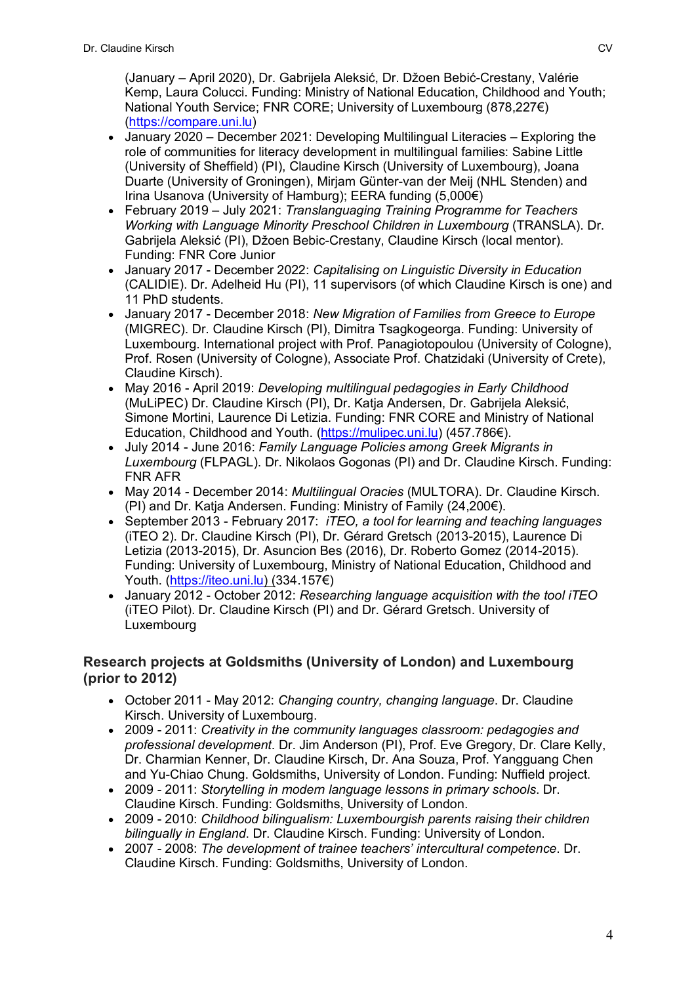(January – April 2020), Dr. Gabrijela Aleksić, Dr. Džoen Bebić-Crestany, Valérie Kemp, Laura Colucci. Funding: Ministry of National Education, Childhood and Youth; National Youth Service; FNR CORE; University of Luxembourg (878,227€) (https://compare.uni.lu)

- January 2020 December 2021: Developing Multilingual Literacies Exploring the role of communities for literacy development in multilingual families: Sabine Little (University of Sheffield) (PI), Claudine Kirsch (University of Luxembourg), Joana Duarte (University of Groningen), Mirjam Günter-van der Meij (NHL Stenden) and Irina Usanova (University of Hamburg); EERA funding (5,000€)
- February 2019 July 2021: *Translanguaging Training Programme for Teachers Working with Language Minority Preschool Children in Luxembourg* (TRANSLA). Dr. Gabrijela Aleksić (PI), Džoen Bebic-Crestany, Claudine Kirsch (local mentor). Funding: FNR Core Junior
- January 2017 December 2022: *Capitalising on Linguistic Diversity in Education* (CALIDIE). Dr. Adelheid Hu (PI), 11 supervisors (of which Claudine Kirsch is one) and 11 PhD students.
- January 2017 December 2018: *New Migration of Families from Greece to Europe* (MIGREC). Dr. Claudine Kirsch (PI), Dimitra Tsagkogeorga. Funding: University of Luxembourg. International project with Prof. Panagiotopoulou (University of Cologne), Prof. Rosen (University of Cologne), Associate Prof. Chatzidaki (University of Crete), Claudine Kirsch).
- May 2016 April 2019: *Developing multilingual pedagogies in Early Childhood* (MuLiPEC) Dr. Claudine Kirsch (PI), Dr. Katja Andersen, Dr. Gabrijela Aleksić, Simone Mortini, Laurence Di Letizia. Funding: FNR CORE and Ministry of National Education, Childhood and Youth. (https://mulipec.uni.lu) (457.786€).
- July 2014 June 2016: *Family Language Policies among Greek Migrants in Luxembourg* (FLPAGL). Dr. Nikolaos Gogonas (PI) and Dr. Claudine Kirsch. Funding: FNR AFR
- May 2014 December 2014: *Multilingual Oracies* (MULTORA). Dr. Claudine Kirsch. (PI) and Dr. Katja Andersen. Funding: Ministry of Family (24,200 $\varepsilon$ ).
- September 2013 February 2017: *iTEO, a tool for learning and teaching languages* (iTEO 2). Dr. Claudine Kirsch (PI), Dr. Gérard Gretsch (2013-2015), Laurence Di Letizia (2013-2015), Dr. Asuncion Bes (2016), Dr. Roberto Gomez (2014-2015). Funding: University of Luxembourg, Ministry of National Education, Childhood and Youth. (https://iteo.uni.lu) (334.157€)
- January 2012 October 2012: *Researching language acquisition with the tool iTEO* (iTEO Pilot). Dr. Claudine Kirsch (PI) and Dr. Gérard Gretsch. University of Luxembourg

### **Research projects at Goldsmiths (University of London) and Luxembourg (prior to 2012)**

- October 2011 May 2012: *Changing country, changing language*. Dr. Claudine Kirsch. University of Luxembourg.
- 2009 2011: *Creativity in the community languages classroom: pedagogies and professional development*. Dr. Jim Anderson (PI), Prof. Eve Gregory, Dr. Clare Kelly, Dr. Charmian Kenner, Dr. Claudine Kirsch, Dr. Ana Souza, Prof. Yangguang Chen and Yu-Chiao Chung. Goldsmiths, University of London. Funding: Nuffield project.
- 2009 2011: *Storytelling in modern language lessons in primary schools*. Dr. Claudine Kirsch. Funding: Goldsmiths, University of London.
- 2009 2010: *Childhood bilingualism: Luxembourgish parents raising their children bilingually in England*. Dr. Claudine Kirsch. Funding: University of London.
- 2007 2008: *The development of trainee teachers' intercultural competence*. Dr. Claudine Kirsch. Funding: Goldsmiths, University of London.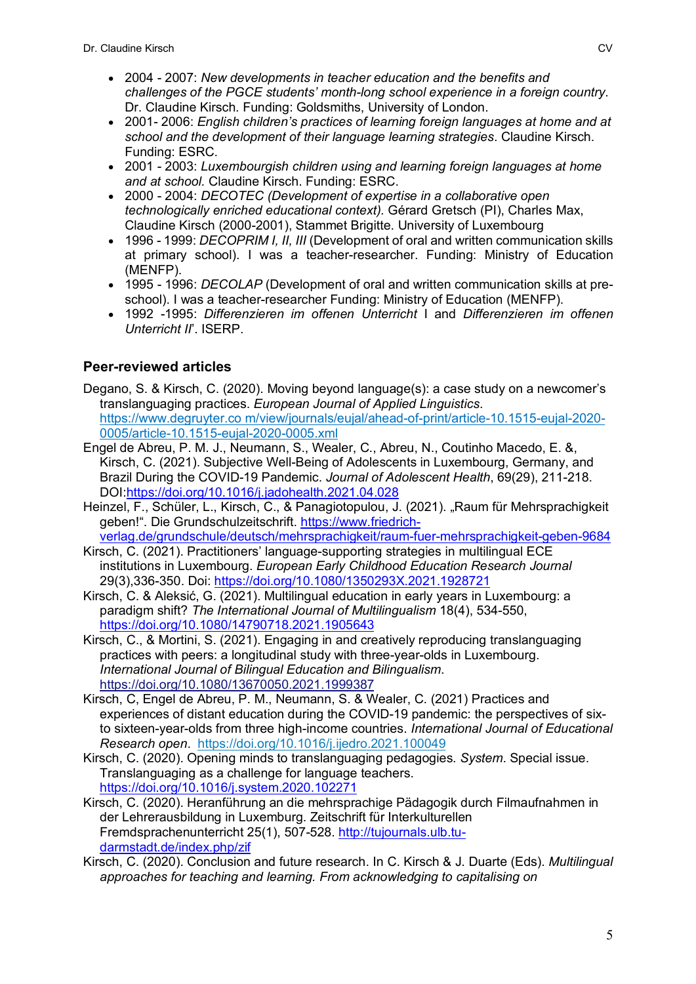- 2004 2007: *New developments in teacher education and the benefits and challenges of the PGCE students' month-long school experience in a foreign country*. Dr. Claudine Kirsch. Funding: Goldsmiths, University of London.
- 2001- 2006: *English children's practices of learning foreign languages at home and at school and the development of their language learning strategies*. Claudine Kirsch. Funding: ESRC.
- 2001 2003: *Luxembourgish children using and learning foreign languages at home and at school.* Claudine Kirsch. Funding: ESRC.
- 2000 2004: *DECOTEC (Development of expertise in a collaborative open technologically enriched educational context).* Gérard Gretsch (PI), Charles Max, Claudine Kirsch (2000-2001), Stammet Brigitte. University of Luxembourg
- 1996 1999: *DECOPRIM I, II, III* (Development of oral and written communication skills at primary school). I was a teacher-researcher. Funding: Ministry of Education (MENFP).
- 1995 1996: *DECOLAP* (Development of oral and written communication skills at preschool). I was a teacher-researcher Funding: Ministry of Education (MENFP).
- 1992 -1995: *Differenzieren im offenen Unterricht* I and *Differenzieren im offenen Unterricht II*'. ISERP.

# **Peer-reviewed articles**

- Degano, S. & Kirsch, C. (2020). Moving beyond language(s): a case study on a newcomer's translanguaging practices. *European Journal of Applied Linguistics*. https://www.degruyter.co m/view/journals/eujal/ahead-of-print/article-10.1515-eujal-2020- 0005/article-10.1515-eujal-2020-0005.xml
- Engel de Abreu, P. M. J., Neumann, S., Wealer, C., Abreu, N., Coutinho Macedo, E. &, Kirsch, C. (2021). Subjective Well-Being of Adolescents in Luxembourg, Germany, and Brazil During the COVID-19 Pandemic. *Journal of Adolescent Health*, 69(29), 211-218. DOI:https://doi.org/10.1016/j.jadohealth.2021.04.028
- Heinzel, F., Schüler, L., Kirsch, C., & Panagiotopulou, J. (2021). "Raum für Mehrsprachigkeit geben!". Die Grundschulzeitschrift. https://www.friedrichverlag.de/grundschule/deutsch/mehrsprachigkeit/raum-fuer-mehrsprachigkeit-geben-9684
- Kirsch, C. (2021). Practitioners' language-supporting strategies in multilingual ECE institutions in Luxembourg. *European Early Childhood Education Research Journal* 29(3),336-350. Doi: https://doi.org/10.1080/1350293X.2021.1928721
- Kirsch, C. & Aleksić, G. (2021). Multilingual education in early years in Luxembourg: a paradigm shift? *The International Journal of Multilingualism* 18(4), 534-550, https://doi.org/10.1080/14790718.2021.1905643
- Kirsch, C., & Mortini, S. (2021). Engaging in and creatively reproducing translanguaging practices with peers: a longitudinal study with three-year-olds in Luxembourg. *International Journal of Bilingual Education and Bilingualism*. https://doi.org/10.1080/13670050.2021.1999387
- Kirsch, C, Engel de Abreu, P. M., Neumann, S. & Wealer, C. (2021) Practices and experiences of distant education during the COVID-19 pandemic: the perspectives of sixto sixteen-year-olds from three high-income countries. *International Journal of Educational Research open*. https://doi.org/10.1016/j.ijedro.2021.100049
- Kirsch, C. (2020). Opening minds to translanguaging pedagogies. *System*. Special issue. Translanguaging as a challenge for language teachers. https://doi.org/10.1016/j.system.2020.102271
- Kirsch, C. (2020). Heranführung an die mehrsprachige Pädagogik durch Filmaufnahmen in der Lehrerausbildung in Luxemburg. Zeitschrift für Interkulturellen Fremdsprachenunterricht 25(1), 507-528. http://tujournals.ulb.tudarmstadt.de/index.php/zif
- Kirsch, C. (2020). Conclusion and future research. In C. Kirsch & J. Duarte (Eds). *Multilingual approaches for teaching and learning. From acknowledging to capitalising on*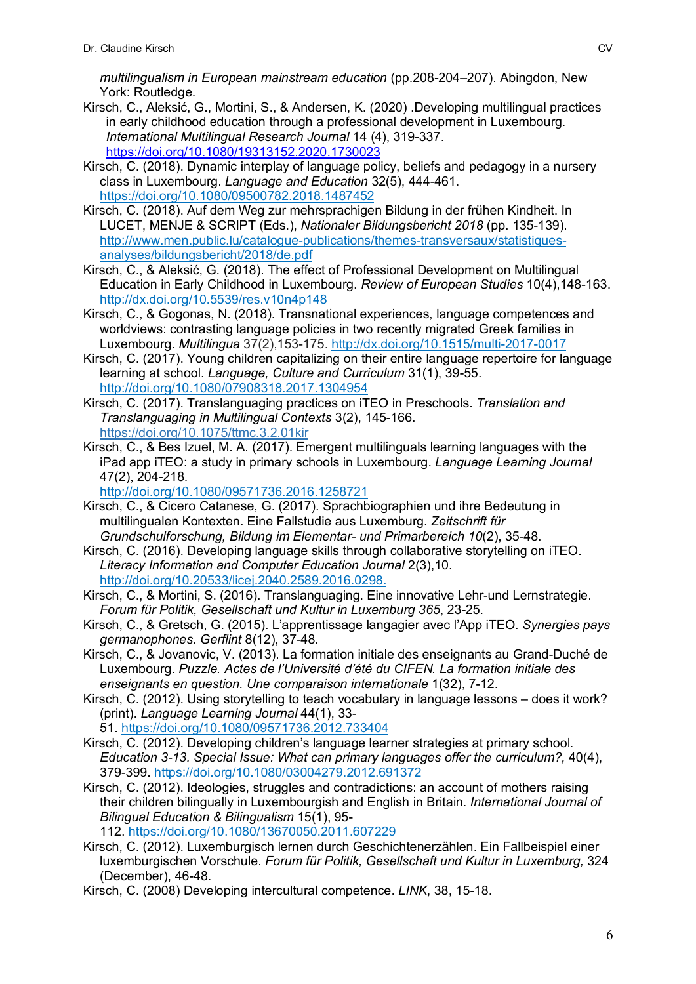*multilingualism in European mainstream education* (pp.208-204–207). Abingdon, New York: Routledge.

- Kirsch, C., Aleksić, G., Mortini, S., & Andersen, K. (2020) .Developing multilingual practices in early childhood education through a professional development in Luxembourg. *International Multilingual Research Journal* 14 (4), 319-337. https://doi.org/10.1080/19313152.2020.1730023
- Kirsch, C. (2018). Dynamic interplay of language policy, beliefs and pedagogy in a nursery class in Luxembourg. *Language and Education* 32(5), 444-461. https://doi.org/10.1080/09500782.2018.1487452
- Kirsch, C. (2018). Auf dem Weg zur mehrsprachigen Bildung in der frühen Kindheit. In LUCET, MENJE & SCRIPT (Eds.), *Nationaler Bildungsbericht 2018* (pp. 135-139). http://www.men.public.lu/catalogue-publications/themes-transversaux/statistiquesanalyses/bildungsbericht/2018/de.pdf
- Kirsch, C., & Aleksić, G. (2018). The effect of Professional Development on Multilingual Education in Early Childhood in Luxembourg. *Review of European Studies* 10(4),148-163. http://dx.doi.org/10.5539/res.v10n4p148
- Kirsch, C., & Gogonas, N. (2018). Transnational experiences, language competences and worldviews: contrasting language policies in two recently migrated Greek families in Luxembourg. *Multilingua* 37(2),153-175. http://dx.doi.org/10.1515/multi-2017-0017
- Kirsch, C. (2017). Young children capitalizing on their entire language repertoire for language learning at school. *Language, Culture and Curriculum* 31(1), 39-55. http://doi.org/10.1080/07908318.2017.1304954
- Kirsch, C. (2017). Translanguaging practices on iTEO in Preschools. *Translation and Translanguaging in Multilingual Contexts* 3(2), 145-166. https://doi.org/10.1075/ttmc.3.2.01kir
- Kirsch, C., & Bes Izuel, M. A. (2017). Emergent multilinguals learning languages with the iPad app iTEO: a study in primary schools in Luxembourg. *Language Learning Journal* 47(2), 204-218.

http://doi.org/10.1080/09571736.2016.1258721

- Kirsch, C., & Cicero Catanese, G. (2017). Sprachbiographien und ihre Bedeutung in multilingualen Kontexten. Eine Fallstudie aus Luxemburg. *Zeitschrift für Grundschulforschung, Bildung im Elementar- und Primarbereich 10*(2), 35-48.
- Kirsch, C. (2016). Developing language skills through collaborative storytelling on iTEO. *Literacy Information and Computer Education Journal* 2(3),10. http://doi.org/10.20533/licej.2040.2589.2016.0298.
- Kirsch, C., & Mortini, S. (2016). Translanguaging. Eine innovative Lehr-und Lernstrategie. *Forum für Politik, Gesellschaft und Kultur in Luxemburg 365*, 23-25.
- Kirsch, C., & Gretsch, G. (2015). L'apprentissage langagier avec l'App iTEO. *Synergies pays germanophones. Gerflint* 8(12), 37-48.
- Kirsch, C., & Jovanovic, V. (2013). La formation initiale des enseignants au Grand-Duché de Luxembourg. *Puzzle. Actes de l'Université d'été du CIFEN. La formation initiale des enseignants en question. Une comparaison internationale* 1(32), 7-12.
- Kirsch, C. (2012). Using storytelling to teach vocabulary in language lessons does it work? (print). *Language Learning Journal* 44(1), 33-

51. https://doi.org/10.1080/09571736.2012.733404

- Kirsch, C. (2012). Developing children's language learner strategies at primary school. *Education 3-13. Special Issue: What can primary languages offer the curriculum?,* 40(4), 379-399. https://doi.org/10.1080/03004279.2012.691372
- Kirsch, C. (2012). Ideologies, struggles and contradictions: an account of mothers raising their children bilingually in Luxembourgish and English in Britain. *International Journal of Bilingual Education & Bilingualism* 15(1), 95-

112. https://doi.org/10.1080/13670050.2011.607229

- Kirsch, C. (2012). Luxemburgisch lernen durch Geschichtenerzählen. Ein Fallbeispiel einer luxemburgischen Vorschule. *Forum für Politik, Gesellschaft und Kultur in Luxemburg,* 324 (December), 46-48.
- Kirsch, C. (2008) Developing intercultural competence. *LINK*, 38, 15-18.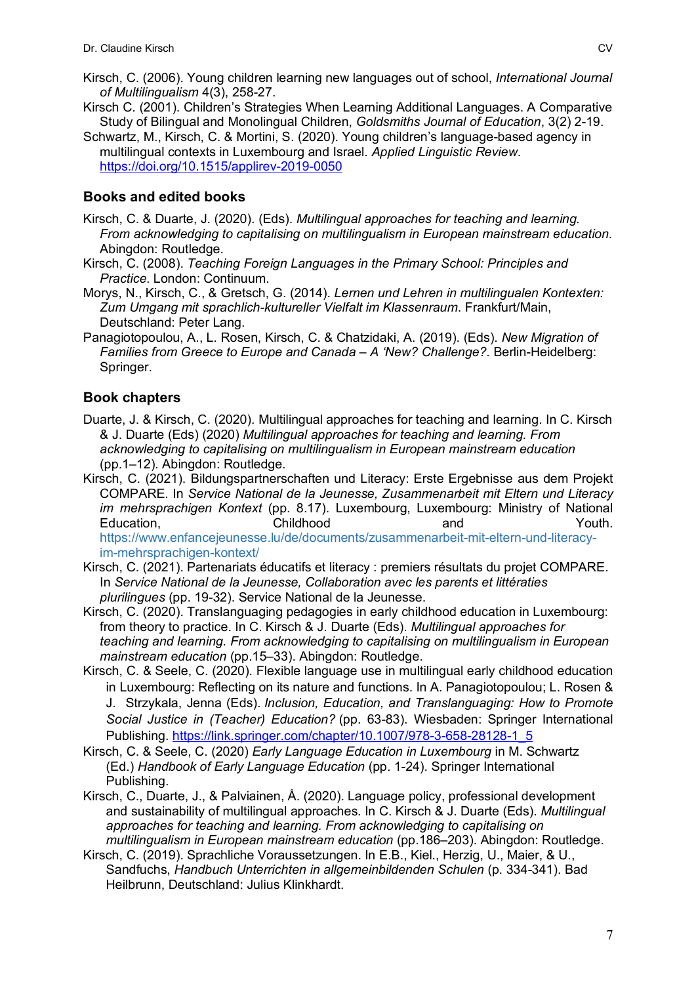- Kirsch, C. (2006). Young children learning new languages out of school, *International Journal of Multilingualism* 4(3), 258-27.
- Kirsch C. (2001). Children's Strategies When Learning Additional Languages. A Comparative Study of Bilingual and Monolingual Children, *Goldsmiths Journal of Education*, 3(2) 2-19.
- Schwartz, M., Kirsch, C. & Mortini, S. (2020). Young children's language-based agency in multilingual contexts in Luxembourg and Israel. *Applied Linguistic Review*. https://doi.org/10.1515/applirev-2019-0050

# **Books and edited books**

- Kirsch, C. & Duarte, J. (2020). (Eds). *Multilingual approaches for teaching and learning. From acknowledging to capitalising on multilingualism in European mainstream education*. Abingdon: Routledge.
- Kirsch, C. (2008). *Teaching Foreign Languages in the Primary School: Principles and Practice*. London: Continuum.
- Morys, N., Kirsch, C., & Gretsch, G. (2014). *Lernen und Lehren in multilingualen Kontexten: Zum Umgang mit sprachlich-kultureller Vielfalt im Klassenraum*. Frankfurt/Main, Deutschland: Peter Lang.
- Panagiotopoulou, A., L. Rosen, Kirsch, C. & Chatzidaki, A. (2019). (Eds). *New Migration of Families from Greece to Europe and Canada – A 'New? Challenge?*. Berlin-Heidelberg: Springer.

# **Book chapters**

- Duarte, J. & Kirsch, C. (2020). Multilingual approaches for teaching and learning. In C. Kirsch & J. Duarte (Eds) (2020) *Multilingual approaches for teaching and learning. From acknowledging to capitalising on multilingualism in European mainstream education* (pp.1–12). Abingdon: Routledge.
- Kirsch, C. (2021). Bildungspartnerschaften und Literacy: Erste Ergebnisse aus dem Projekt COMPARE. In *Service National de la Jeunesse, Zusammenarbeit mit Eltern und Literacy im mehrsprachigen Kontext* (pp. 8.17). Luxembourg, Luxembourg: Ministry of National Education, Childhood and Youth. https://www.enfancejeunesse.lu/de/documents/zusammenarbeit-mit-eltern-und-literacyim-mehrsprachigen-kontext/
- Kirsch, C. (2021). Partenariats éducatifs et literacy : premiers résultats du projet COMPARE. In *Service National de la Jeunesse, Collaboration avec les parents et littératies plurilingues* (pp. 19-32). Service National de la Jeunesse.
- Kirsch, C. (2020). Translanguaging pedagogies in early childhood education in Luxembourg: from theory to practice. In C. Kirsch & J. Duarte (Eds). *Multilingual approaches for teaching and learning. From acknowledging to capitalising on multilingualism in European mainstream education* (pp.15–33). Abingdon: Routledge.
- Kirsch, C. & Seele, C. (2020). Flexible language use in multilingual early childhood education in Luxembourg: Reflecting on its nature and functions. In A. Panagiotopoulou; L. Rosen & J. Strzykala, Jenna (Eds). *Inclusion, Education, and Translanguaging: How to Promote Social Justice in (Teacher) Education?* (pp. 63-83). Wiesbaden: Springer International Publishing. https://link.springer.com/chapter/10.1007/978-3-658-28128-1\_5
- Kirsch, C. & Seele, C. (2020) *Early Language Education in Luxembourg* in M. Schwartz (Ed.) *Handbook of Early Language Education* (pp. 1-24). Springer International Publishing.
- Kirsch, C., Duarte, J., & Palviainen, Å. (2020). Language policy, professional development and sustainability of multilingual approaches. In C. Kirsch & J. Duarte (Eds). *Multilingual approaches for teaching and learning. From acknowledging to capitalising on multilingualism in European mainstream education* (pp.186–203). Abingdon: Routledge.
- Kirsch, C. (2019). Sprachliche Voraussetzungen. In E.B., Kiel., Herzig, U., Maier, & U., Sandfuchs, *Handbuch Unterrichten in allgemeinbildenden Schulen* (p. 334-341). Bad Heilbrunn, Deutschland: Julius Klinkhardt.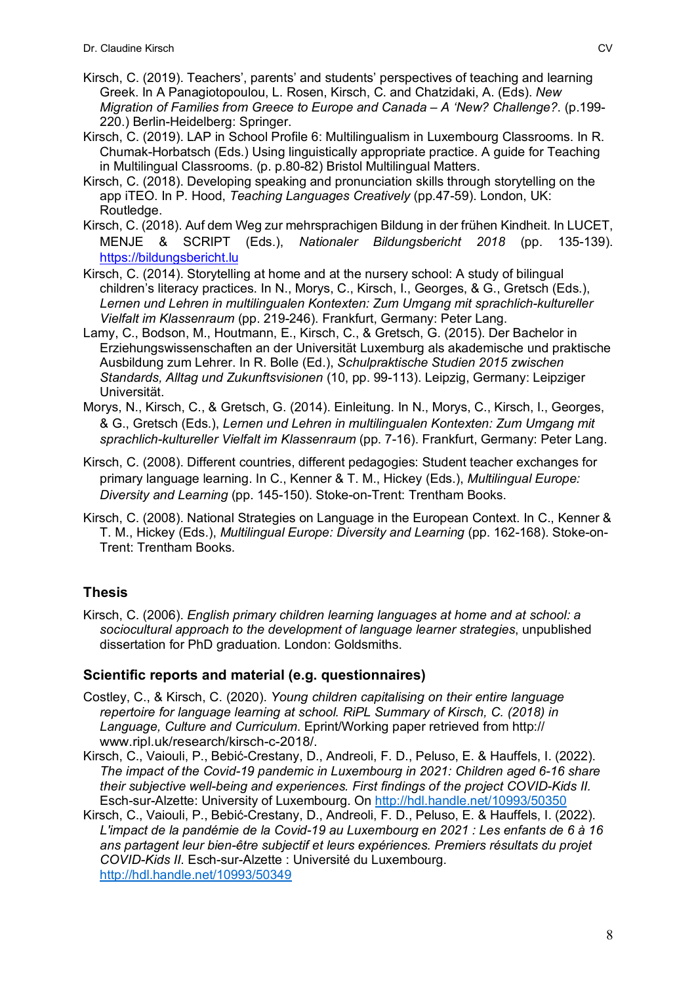- Kirsch, C. (2019). Teachers', parents' and students' perspectives of teaching and learning Greek. In A Panagiotopoulou, L. Rosen, Kirsch, C. and Chatzidaki, A. (Eds). *New Migration of Families from Greece to Europe and Canada – A 'New? Challenge?*. (p.199- 220.) Berlin-Heidelberg: Springer.
- Kirsch, C. (2019). LAP in School Profile 6: Multilingualism in Luxembourg Classrooms. In R. Chumak-Horbatsch (Eds.) Using linguistically appropriate practice. A guide for Teaching in Multilingual Classrooms. (p. p.80-82) Bristol Multilingual Matters.
- Kirsch, C. (2018). Developing speaking and pronunciation skills through storytelling on the app iTEO. In P. Hood, *Teaching Languages Creatively* (pp.47-59). London, UK: Routledge.
- Kirsch, C. (2018). Auf dem Weg zur mehrsprachigen Bildung in der frühen Kindheit. In LUCET, MENJE & SCRIPT (Eds.), *Nationaler Bildungsbericht 2018* (pp. 135-139). https://bildungsbericht.lu
- Kirsch, C. (2014). Storytelling at home and at the nursery school: A study of bilingual children's literacy practices. In N., Morys, C., Kirsch, I., Georges, & G., Gretsch (Eds.), *Lernen und Lehren in multilingualen Kontexten: Zum Umgang mit sprachlich-kultureller Vielfalt im Klassenraum* (pp. 219-246). Frankfurt, Germany: Peter Lang.
- Lamy, C., Bodson, M., Houtmann, E., Kirsch, C., & Gretsch, G. (2015). Der Bachelor in Erziehungswissenschaften an der Universität Luxemburg als akademische und praktische Ausbildung zum Lehrer. In R. Bolle (Ed.), *Schulpraktische Studien 2015 zwischen Standards, Alltag und Zukunftsvisionen* (10, pp. 99-113). Leipzig, Germany: Leipziger Universität.
- Morys, N., Kirsch, C., & Gretsch, G. (2014). Einleitung. In N., Morys, C., Kirsch, I., Georges, & G., Gretsch (Eds.), *Lernen und Lehren in multilingualen Kontexten: Zum Umgang mit sprachlich-kultureller Vielfalt im Klassenraum* (pp. 7-16). Frankfurt, Germany: Peter Lang.
- Kirsch, C. (2008). Different countries, different pedagogies: Student teacher exchanges for primary language learning. In C., Kenner & T. M., Hickey (Eds.), *Multilingual Europe: Diversity and Learning* (pp. 145-150). Stoke-on-Trent: Trentham Books.
- Kirsch, C. (2008). National Strategies on Language in the European Context. In C., Kenner & T. M., Hickey (Eds.), *Multilingual Europe: Diversity and Learning* (pp. 162-168). Stoke-on-Trent: Trentham Books.

# **Thesis**

Kirsch, C. (2006). *English primary children learning languages at home and at school: a sociocultural approach to the development of language learner strategies*, unpublished dissertation for PhD graduation. London: Goldsmiths.

# **Scientific reports and material (e.g. questionnaires)**

- Costley, C., & Kirsch, C. (2020). *Young children capitalising on their entire language repertoire for language learning at school. RiPL Summary of Kirsch, C. (2018) in Language, Culture and Curriculum*. Eprint/Working paper retrieved from http:// www.ripl.uk/research/kirsch-c-2018/.
- Kirsch, C., Vaiouli, P., Bebić-Crestany, D., Andreoli, F. D., Peluso, E. & Hauffels, I. (2022). *The impact of the Covid-19 pandemic in Luxembourg in 2021: Children aged 6-16 share their subjective well-being and experiences. First findings of the project COVID-Kids II.* Esch-sur-Alzette: University of Luxembourg. On http://hdl.handle.net/10993/50350
- Kirsch, C., Vaiouli, P., Bebić-Crestany, D., Andreoli, F. D., Peluso, E. & Hauffels, I. (2022). *L'impact de la pandémie de la Covid-19 au Luxembourg en 2021 : Les enfants de 6 à 16 ans partagent leur bien-être subjectif et leurs expériences. Premiers résultats du projet COVID-Kids II*. Esch-sur-Alzette : Université du Luxembourg. http://hdl.handle.net/10993/50349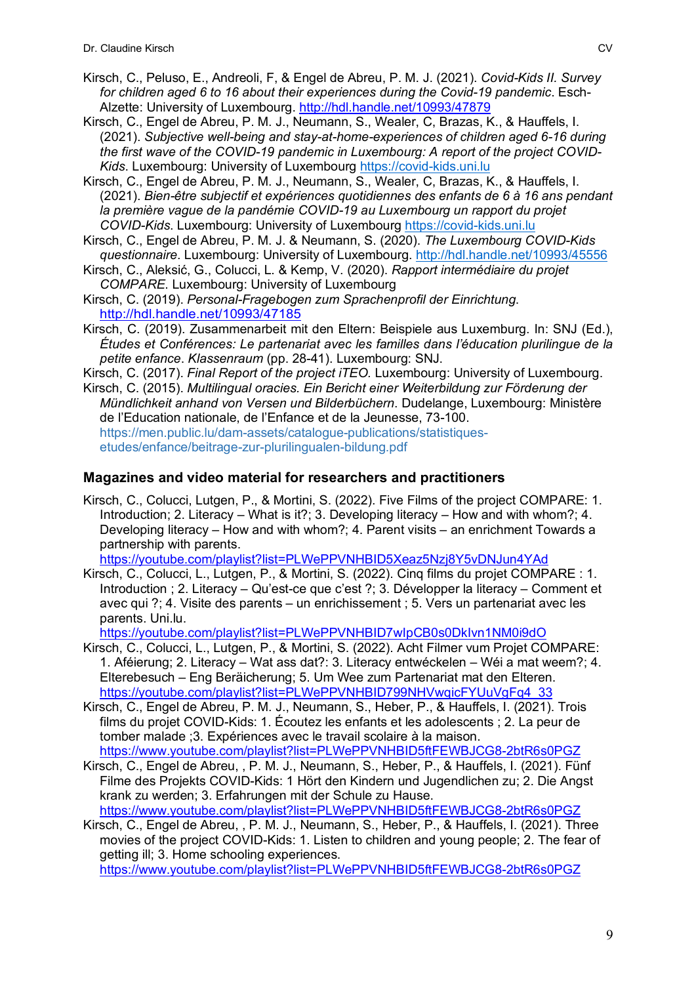- Kirsch, C., Peluso, E., Andreoli, F, & Engel de Abreu, P. M. J. (2021). *Covid-Kids II. Survey for children aged 6 to 16 about their experiences during the Covid-19 pandemic*. Esch-Alzette: University of Luxembourg. http://hdl.handle.net/10993/47879
- Kirsch, C., Engel de Abreu, P. M. J., Neumann, S., Wealer, C, Brazas, K., & Hauffels, I. (2021). *Subjective well-being and stay-at-home-experiences of children aged 6-16 during the first wave of the COVID-19 pandemic in Luxembourg: A report of the project COVID-Kids*. Luxembourg: University of Luxembourg https://covid-kids.uni.lu
- Kirsch, C., Engel de Abreu, P. M. J., Neumann, S., Wealer, C, Brazas, K., & Hauffels, I. (2021). *Bien-être subjectif et expériences quotidiennes des enfants de 6 à 16 ans pendant*  la première vague de la pandémie COVID-19 au Luxembourg un rapport du projet *COVID-Kids*. Luxembourg: University of Luxembourg https://covid-kids.uni.lu
- Kirsch, C., Engel de Abreu, P. M. J. & Neumann, S. (2020). *The Luxembourg COVID-Kids questionnaire*. Luxembourg: University of Luxembourg. http://hdl.handle.net/10993/45556
- Kirsch, C., Aleksić, G., Colucci, L. & Kemp, V. (2020). *Rapport intermédiaire du projet COMPARE*. Luxembourg: University of Luxembourg
- Kirsch, C. (2019). *Personal-Fragebogen zum Sprachenprofil der Einrichtung*. http://hdl.handle.net/10993/47185
- Kirsch, C. (2019). Zusammenarbeit mit den Eltern: Beispiele aus Luxemburg. In: SNJ (Ed.), *Études et Conférences: Le partenariat avec les familles dans l'éducation plurilingue de la petite enfance*. *Klassenraum* (pp. 28-41). Luxembourg: SNJ.
- Kirsch, C. (2017). *Final Report of the project iTEO.* Luxembourg: University of Luxembourg.
- Kirsch, C. (2015). *Multilingual oracies. Ein Bericht einer Weiterbildung zur Förderung der Mündlichkeit anhand von Versen und Bilderbüchern*. Dudelange, Luxembourg: Ministère de l'Education nationale, de l'Enfance et de la Jeunesse, 73-100. https://men.public.lu/dam-assets/catalogue-publications/statistiquesetudes/enfance/beitrage-zur-plurilingualen-bildung.pdf

#### **Magazines and video material for researchers and practitioners**

Kirsch, C., Colucci, Lutgen, P., & Mortini, S. (2022). Five Films of the project COMPARE: 1. Introduction; 2. Literacy – What is it?; 3. Developing literacy – How and with whom?; 4. Developing literacy – How and with whom?; 4. Parent visits – an enrichment Towards a partnership with parents.

https://youtube.com/playlist?list=PLWePPVNHBID5Xeaz5Nzj8Y5vDNJun4YAd

Kirsch, C., Colucci, L., Lutgen, P., & Mortini, S. (2022). Cinq films du projet COMPARE : 1. Introduction ; 2. Literacy – Qu'est-ce que c'est ?; 3. Développer la literacy – Comment et avec qui ?; 4. Visite des parents – un enrichissement ; 5. Vers un partenariat avec les parents. Uni.lu.

https://youtube.com/playlist?list=PLWePPVNHBID7wIpCB0s0DkIvn1NM0i9dO

- Kirsch, C., Colucci, L., Lutgen, P., & Mortini, S. (2022). Acht Filmer vum Projet COMPARE: 1. Aféierung; 2. Literacy – Wat ass dat?: 3. Literacy entwéckelen – Wéi a mat weem?; 4. Elterebesuch – Eng Beräicherung; 5. Um Wee zum Partenariat mat den Elteren. https://youtube.com/playlist?list=PLWePPVNHBID799NHVwqicFYUuVqFq4\_33
- Kirsch, C., Engel de Abreu, P. M. J., Neumann, S., Heber, P., & Hauffels, I. (2021). Trois films du projet COVID-Kids: 1. Écoutez les enfants et les adolescents ; 2. La peur de tomber malade ;3. Expériences avec le travail scolaire à la maison. https://www.youtube.com/playlist?list=PLWePPVNHBID5ftFEWBJCG8-2btR6s0PGZ
- Kirsch, C., Engel de Abreu, , P. M. J., Neumann, S., Heber, P., & Hauffels, I. (2021). Fünf Filme des Projekts COVID-Kids: 1 Hört den Kindern und Jugendlichen zu; 2. Die Angst krank zu werden; 3. Erfahrungen mit der Schule zu Hause. https://www.youtube.com/playlist?list=PLWePPVNHBID5ftFEWBJCG8-2btR6s0PGZ

Kirsch, C., Engel de Abreu, , P. M. J., Neumann, S., Heber, P., & Hauffels, I. (2021). Three movies of the project COVID-Kids: 1. Listen to children and young people; 2. The fear of getting ill; 3. Home schooling experiences. https://www.youtube.com/playlist?list=PLWePPVNHBID5ftFEWBJCG8-2btR6s0PGZ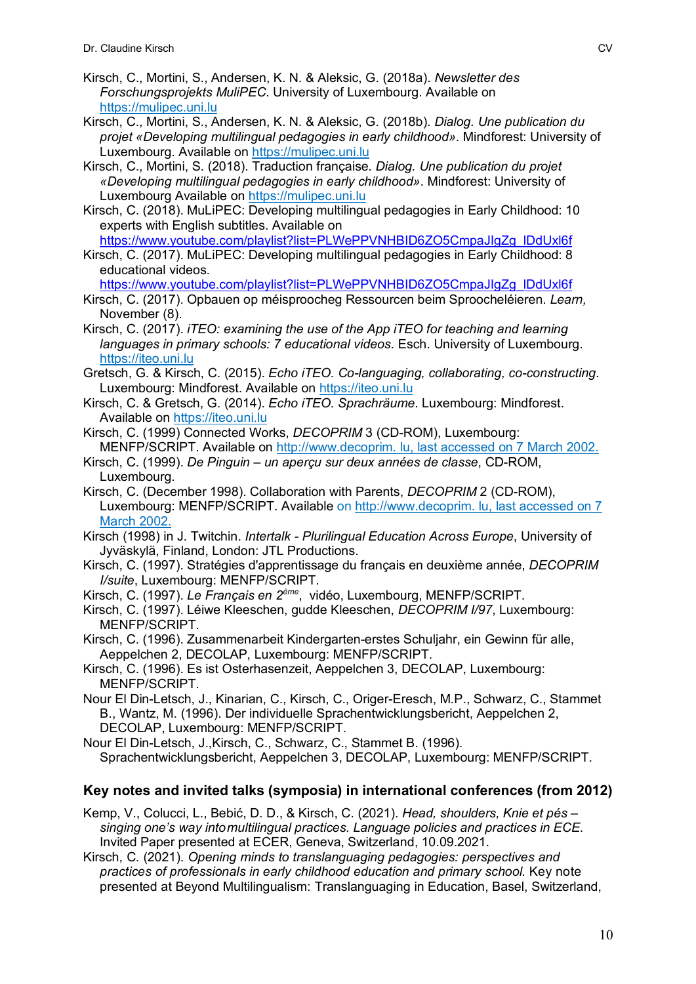- Kirsch, C., Mortini, S., Andersen, K. N. & Aleksic, G. (2018a). *Newsletter des Forschungsprojekts MuliPEC*. University of Luxembourg. Available on https://mulipec.uni.lu
- Kirsch, C., Mortini, S., Andersen, K. N. & Aleksic, G. (2018b). *Dialog. Une publication du projet «Developing multilingual pedagogies in early childhood»*. Mindforest: University of Luxembourg. Available on https://mulipec.uni.lu

Kirsch, C., Mortini, S. (2018). Traduction française. *Dialog. Une publication du projet «Developing multilingual pedagogies in early childhood»*. Mindforest: University of Luxembourg Available on https://mulipec.uni.lu

Kirsch, C. (2018). MuLiPEC: Developing multilingual pedagogies in Early Childhood: 10 experts with English subtitles. Available on https://www.youtube.com/playlist?list=PLWePPVNHBID6ZO5CmpaJIgZg\_lDdUxl6f

Kirsch, C. (2017). MuLiPEC: Developing multilingual pedagogies in Early Childhood: 8 educational videos.

https://www.youtube.com/playlist?list=PLWePPVNHBID6ZO5CmpaJIgZg\_lDdUxl6f

- Kirsch, C. (2017). Opbauen op méisproocheg Ressourcen beim Sproocheléieren. *Learn,*  November (8).
- Kirsch, C. (2017). *iTEO: examining the use of the App iTEO for teaching and learning languages in primary schools: 7 educational videos*. Esch. University of Luxembourg. https://iteo.uni.lu
- Gretsch, G. & Kirsch, C. (2015). *Echo iTEO. Co-languaging, collaborating, co-constructing*. Luxembourg: Mindforest. Available on https://iteo.uni.lu
- Kirsch, C. & Gretsch, G. (2014). *Echo iTEO. Sprachräume*. Luxembourg: Mindforest. Available on https://iteo.uni.lu
- Kirsch, C. (1999) Connected Works, *DECOPRIM* 3 (CD-ROM), Luxembourg: MENFP/SCRIPT. Available on http://www.decoprim. lu, last accessed on 7 March 2002.
- Kirsch, C. (1999). *De Pinguin – un aperçu sur deux années de classe*, CD-ROM, Luxembourg.
- Kirsch, C. (December 1998). Collaboration with Parents, *DECOPRIM* 2 (CD-ROM), Luxembourg: MENFP/SCRIPT. Available on http://www.decoprim. lu, last accessed on 7 March 2002.
- Kirsch (1998) in J. Twitchin. *Intertalk - Plurilingual Education Across Europe*, University of Jyväskylä, Finland, London: JTL Productions.
- Kirsch, C. (1997). Stratégies d'apprentissage du français en deuxième année, *DECOPRIM I/suite*, Luxembourg: MENFP/SCRIPT.

Kirsch, C. (1997). *Le Français en 2ème*, vidéo, Luxembourg, MENFP/SCRIPT.

- Kirsch, C. (1997). Léiwe Kleeschen, gudde Kleeschen, *DECOPRIM I/97*, Luxembourg: MENFP/SCRIPT.
- Kirsch, C. (1996). Zusammenarbeit Kindergarten-erstes Schuljahr, ein Gewinn für alle, Aeppelchen 2, DECOLAP, Luxembourg: MENFP/SCRIPT.

Kirsch, C. (1996). Es ist Osterhasenzeit, Aeppelchen 3, DECOLAP, Luxembourg: MENFP/SCRIPT.

Nour El Din-Letsch, J., Kinarian, C., Kirsch, C., Origer-Eresch, M.P., Schwarz, C., Stammet B., Wantz, M. (1996). Der individuelle Sprachentwicklungsbericht, Aeppelchen 2, DECOLAP, Luxembourg: MENFP/SCRIPT.

Nour El Din-Letsch, J.,Kirsch, C., Schwarz, C., Stammet B. (1996). Sprachentwicklungsbericht, Aeppelchen 3, DECOLAP, Luxembourg: MENFP/SCRIPT.

#### **Key notes and invited talks (symposia) in international conferences (from 2012)**

Kemp, V., Colucci, L., Bebić, D. D., & Kirsch, C. (2021). *Head, shoulders, Knie et pés – singing one's way intomultilingual practices. Language policies and practices in ECE*. Invited Paper presented at ECER, Geneva, Switzerland, 10.09.2021.

Kirsch, C. (2021). *Opening minds to translanguaging pedagogies: perspectives and practices of professionals in early childhood education and primary school.* Key note presented at Beyond Multilingualism: Translanguaging in Education, Basel, Switzerland,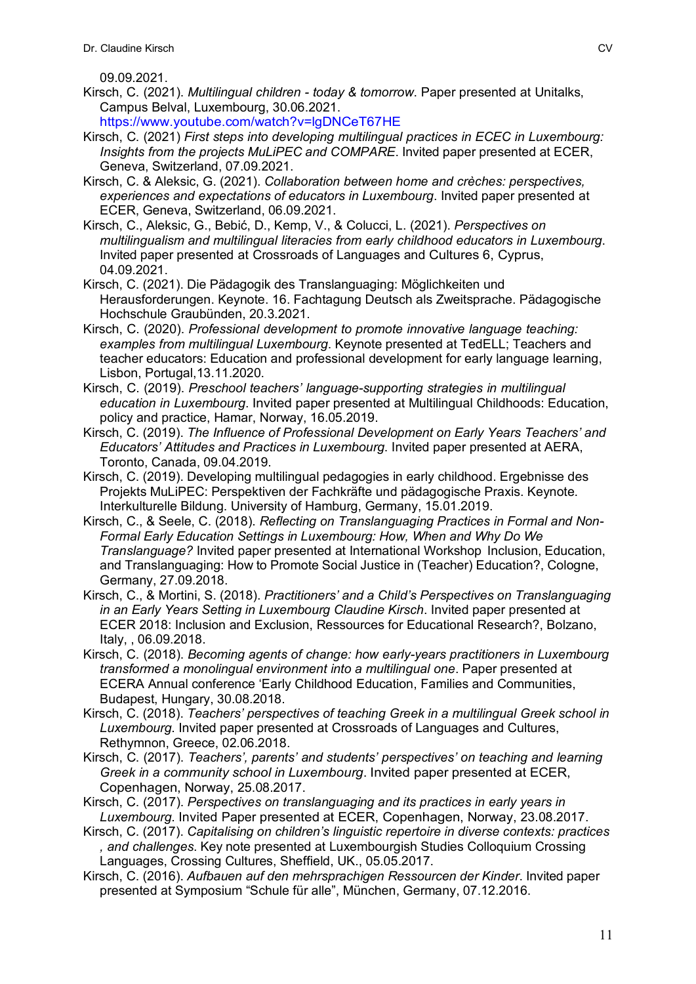09.09.2021.

- Kirsch, C. (2021). *Multilingual children - today & tomorrow*. Paper presented at Unitalks, Campus Belval, Luxembourg, 30.06.2021.
- https://www.youtube.com/watch?v=lgDNCeT67HE
- Kirsch, C. (2021) *First steps into developing multilingual practices in ECEC in Luxembourg: Insights from the projects MuLiPEC and COMPARE*. Invited paper presented at ECER, Geneva, Switzerland, 07.09.2021.
- Kirsch, C. & Aleksic, G. (2021). *Collaboration between home and crèches: perspectives, experiences and expectations of educators in Luxembourg*. Invited paper presented at ECER, Geneva, Switzerland, 06.09.2021.
- Kirsch, C., Aleksic, G., Bebić, D., Kemp, V., & Colucci, L. (2021). *Perspectives on multilingualism and multilingual literacies from early childhood educators in Luxembourg*. Invited paper presented at Crossroads of Languages and Cultures 6, Cyprus, 04.09.2021.
- Kirsch, C. (2021). Die Pädagogik des Translanguaging: Möglichkeiten und Herausforderungen. Keynote. 16. Fachtagung Deutsch als Zweitsprache. Pädagogische Hochschule Graubünden, 20.3.2021.
- Kirsch, C. (2020). *Professional development to promote innovative language teaching: examples from multilingual Luxembourg*. Keynote presented at TedELL; Teachers and teacher educators: Education and professional development for early language learning, Lisbon, Portugal,13.11.2020.
- Kirsch, C. (2019). *Preschool teachers' language-supporting strategies in multilingual education in Luxembourg*. Invited paper presented at Multilingual Childhoods: Education, policy and practice, Hamar, Norway, 16.05.2019.
- Kirsch, C. (2019). *The Influence of Professional Development on Early Years Teachers' and Educators' Attitudes and Practices in Luxembourg*. Invited paper presented at AERA, Toronto, Canada, 09.04.2019.
- Kirsch, C. (2019). Developing multilingual pedagogies in early childhood. Ergebnisse des Projekts MuLiPEC: Perspektiven der Fachkräfte und pädagogische Praxis. Keynote. Interkulturelle Bildung. University of Hamburg, Germany, 15.01.2019.
- Kirsch, C., & Seele, C. (2018). *Reflecting on Translanguaging Practices in Formal and Non-Formal Early Education Settings in Luxembourg: How, When and Why Do We Translanguage?* Invited paper presented at International Workshop Inclusion, Education, and Translanguaging: How to Promote Social Justice in (Teacher) Education?, Cologne, Germany, 27.09.2018.
- Kirsch, C., & Mortini, S. (2018). *Practitioners' and a Child's Perspectives on Translanguaging in an Early Years Setting in Luxembourg Claudine Kirsch*. Invited paper presented at ECER 2018: Inclusion and Exclusion, Ressources for Educational Research?, Bolzano, Italy, , 06.09.2018.
- Kirsch, C. (2018). *Becoming agents of change: how early-years practitioners in Luxembourg transformed a monolingual environment into a multilingual one*. Paper presented at ECERA Annual conference 'Early Childhood Education, Families and Communities, Budapest, Hungary, 30.08.2018.
- Kirsch, C. (2018). *Teachers' perspectives of teaching Greek in a multilingual Greek school in Luxembourg*. Invited paper presented at Crossroads of Languages and Cultures, Rethymnon, Greece, 02.06.2018.
- Kirsch, C. (2017). *Teachers', parents' and students' perspectives' on teaching and learning Greek in a community school in Luxembourg*. Invited paper presented at ECER, Copenhagen, Norway, 25.08.2017.
- Kirsch, C. (2017). *Perspectives on translanguaging and its practices in early years in Luxembourg*. Invited Paper presented at ECER, Copenhagen, Norway, 23.08.2017.
- Kirsch, C. (2017). *Capitalising on children's linguistic repertoire in diverse contexts: practices , and challenges*. Key note presented at Luxembourgish Studies Colloquium Crossing Languages, Crossing Cultures, Sheffield, UK., 05.05.2017.
- Kirsch, C. (2016). *Aufbauen auf den mehrsprachigen Ressourcen der Kinder*. Invited paper presented at Symposium "Schule für alle", München, Germany, 07.12.2016.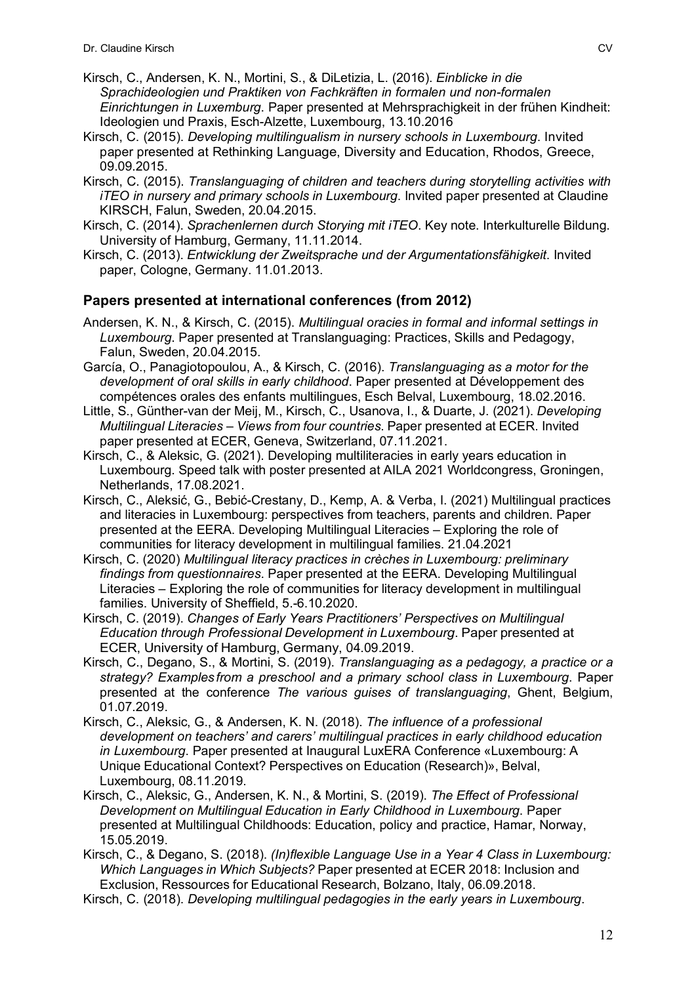- Kirsch, C., Andersen, K. N., Mortini, S., & DiLetizia, L. (2016). *Einblicke in die Sprachideologien und Praktiken von Fachkräften in formalen und non-formalen Einrichtungen in Luxemburg*. Paper presented at Mehrsprachigkeit in der frühen Kindheit: Ideologien und Praxis, Esch-Alzette, Luxembourg, 13.10.2016
- Kirsch, C. (2015). *Developing multilingualism in nursery schools in Luxembourg*. Invited paper presented at Rethinking Language, Diversity and Education, Rhodos, Greece, 09.09.2015.
- Kirsch, C. (2015). *Translanguaging of children and teachers during storytelling activities with iTEO in nursery and primary schools in Luxembourg*. Invited paper presented at Claudine KIRSCH, Falun, Sweden, 20.04.2015.
- Kirsch, C. (2014). *Sprachenlernen durch Storying mit iTEO*. Key note. Interkulturelle Bildung. University of Hamburg, Germany, 11.11.2014.
- Kirsch, C. (2013). *Entwicklung der Zweitsprache und der Argumentationsfähigkeit*. Invited paper, Cologne, Germany. 11.01.2013.

### **Papers presented at international conferences (from 2012)**

- Andersen, K. N., & Kirsch, C. (2015). *Multilingual oracies in formal and informal settings in Luxembourg*. Paper presented at Translanguaging: Practices, Skills and Pedagogy, Falun, Sweden, 20.04.2015.
- García, O., Panagiotopoulou, A., & Kirsch, C. (2016). *Translanguaging as a motor for the development of oral skills in early childhood*. Paper presented at Développement des compétences orales des enfants multilingues, Esch Belval, Luxembourg, 18.02.2016.
- Little, S., Günther-van der Meij, M., Kirsch, C., Usanova, I., & Duarte, J. (2021). *Developing Multilingual Literacies – Views from four countries*. Paper presented at ECER. Invited paper presented at ECER, Geneva, Switzerland, 07.11.2021.
- Kirsch, C., & Aleksic, G. (2021). Developing multiliteracies in early years education in Luxembourg. Speed talk with poster presented at AILA 2021 Worldcongress, Groningen, Netherlands, 17.08.2021.
- Kirsch, C., Aleksić, G., Bebić-Crestany, D., Kemp, A. & Verba, I. (2021) Multilingual practices and literacies in Luxembourg: perspectives from teachers, parents and children. Paper presented at the EERA. Developing Multilingual Literacies – Exploring the role of communities for literacy development in multilingual families. 21.04.2021
- Kirsch, C. (2020) *Multilingual literacy practices in crèches in Luxembourg: preliminary findings from questionnaires*. Paper presented at the EERA. Developing Multilingual Literacies – Exploring the role of communities for literacy development in multilingual families. University of Sheffield, 5.-6.10.2020.
- Kirsch, C. (2019). *Changes of Early Years Practitioners' Perspectives on Multilingual Education through Professional Development in Luxembourg*. Paper presented at ECER, University of Hamburg, Germany, 04.09.2019.
- Kirsch, C., Degano, S., & Mortini, S. (2019). *Translanguaging as a pedagogy, a practice or a strategy? Examples from a preschool and a primary school class in Luxembourg*. Paper presented at the conference *The various guises of translanguaging*, Ghent, Belgium, 01.07.2019.
- Kirsch, C., Aleksic, G., & Andersen, K. N. (2018). *The influence of a professional development on teachers' and carers' multilingual practices in early childhood education in Luxembourg*. Paper presented at Inaugural LuxERA Conference «Luxembourg: A Unique Educational Context? Perspectives on Education (Research)», Belval, Luxembourg, 08.11.2019.
- Kirsch, C., Aleksic, G., Andersen, K. N., & Mortini, S. (2019). *The Effect of Professional Development on Multilingual Education in Early Childhood in Luxembourg*. Paper presented at Multilingual Childhoods: Education, policy and practice, Hamar, Norway, 15.05.2019.

Kirsch, C., & Degano, S. (2018). *(In)flexible Language Use in a Year 4 Class in Luxembourg: Which Languages in Which Subjects?* Paper presented at ECER 2018: Inclusion and Exclusion, Ressources for Educational Research, Bolzano, Italy, 06.09.2018.

Kirsch, C. (2018). *Developing multilingual pedagogies in the early years in Luxembourg*.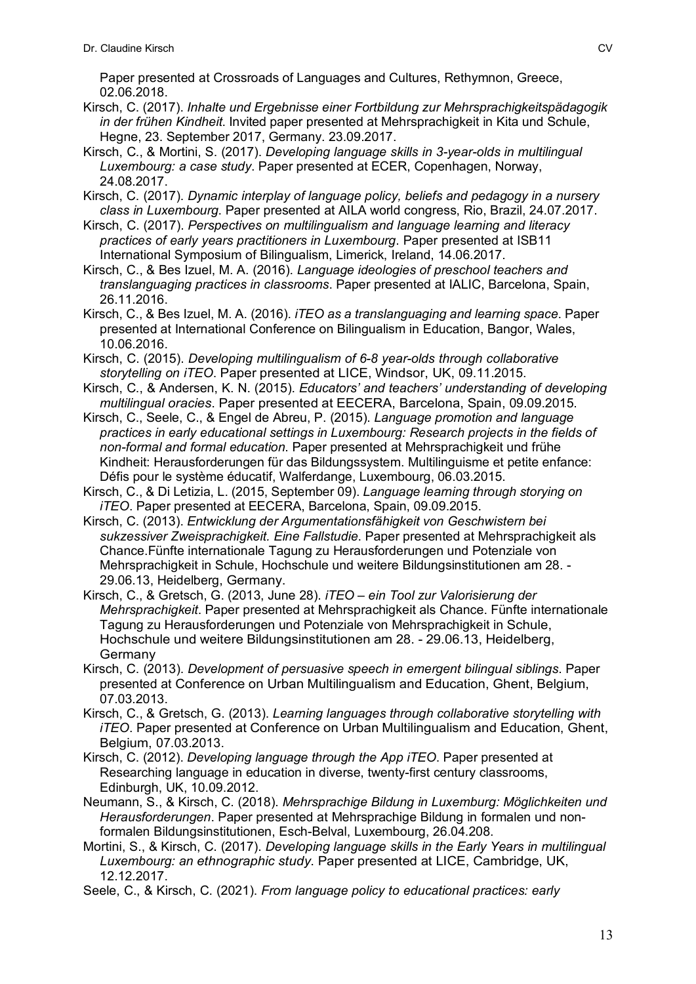Paper presented at Crossroads of Languages and Cultures, Rethymnon, Greece, 02.06.2018.

- Kirsch, C. (2017). *Inhalte und Ergebnisse einer Fortbildung zur Mehrsprachigkeitspädagogik in der frühen Kindheit*. Invited paper presented at Mehrsprachigkeit in Kita und Schule, Hegne, 23. September 2017, Germany. 23.09.2017.
- Kirsch, C., & Mortini, S. (2017). *Developing language skills in 3-year-olds in multilingual Luxembourg: a case study*. Paper presented at ECER, Copenhagen, Norway, 24.08.2017.
- Kirsch, C. (2017). *Dynamic interplay of language policy, beliefs and pedagogy in a nursery class in Luxembourg*. Paper presented at AILA world congress, Rio, Brazil, 24.07.2017.
- Kirsch, C. (2017). *Perspectives on multilingualism and language learning and literacy practices of early years practitioners in Luxembourg*. Paper presented at ISB11 International Symposium of Bilingualism, Limerick, Ireland, 14.06.2017.
- Kirsch, C., & Bes Izuel, M. A. (2016). *Language ideologies of preschool teachers and translanguaging practices in classrooms*. Paper presented at IALIC, Barcelona, Spain, 26.11.2016.
- Kirsch, C., & Bes Izuel, M. A. (2016). *iTEO as a translanguaging and learning space*. Paper presented at International Conference on Bilingualism in Education, Bangor, Wales, 10.06.2016.
- Kirsch, C. (2015). *Developing multilingualism of 6-8 year-olds through collaborative storytelling on iTEO*. Paper presented at LICE, Windsor, UK, 09.11.2015.
- Kirsch, C., & Andersen, K. N. (2015). *Educators' and teachers' understanding of developing multilingual oracies*. Paper presented at EECERA, Barcelona, Spain, 09.09.2015.
- Kirsch, C., Seele, C., & Engel de Abreu, P. (2015). *Language promotion and language practices in early educational settings in Luxembourg: Research projects in the fields of non-formal and formal education*. Paper presented at Mehrsprachigkeit und frühe Kindheit: Herausforderungen für das Bildungssystem. Multilinguisme et petite enfance: Défis pour le système éducatif, Walferdange, Luxembourg, 06.03.2015.
- Kirsch, C., & Di Letizia, L. (2015, September 09). *Language learning through storying on iTEO*. Paper presented at EECERA, Barcelona, Spain, 09.09.2015.
- Kirsch, C. (2013). *Entwicklung der Argumentationsfähigkeit von Geschwistern bei sukzessiver Zweisprachigkeit. Eine Fallstudie*. Paper presented at Mehrsprachigkeit als Chance.Fünfte internationale Tagung zu Herausforderungen und Potenziale von Mehrsprachigkeit in Schule, Hochschule und weitere Bildungsinstitutionen am 28. - 29.06.13, Heidelberg, Germany.
- Kirsch, C., & Gretsch, G. (2013, June 28). *iTEO – ein Tool zur Valorisierung der Mehrsprachigkeit*. Paper presented at Mehrsprachigkeit als Chance. Fünfte internationale Tagung zu Herausforderungen und Potenziale von Mehrsprachigkeit in Schule, Hochschule und weitere Bildungsinstitutionen am 28. - 29.06.13, Heidelberg, Germany
- Kirsch, C. (2013). *Development of persuasive speech in emergent bilingual siblings*. Paper presented at Conference on Urban Multilingualism and Education, Ghent, Belgium, 07.03.2013.
- Kirsch, C., & Gretsch, G. (2013). *Learning languages through collaborative storytelling with iTEO*. Paper presented at Conference on Urban Multilingualism and Education, Ghent, Belgium, 07.03.2013.
- Kirsch, C. (2012). *Developing language through the App iTEO*. Paper presented at Researching language in education in diverse, twenty-first century classrooms, Edinburgh, UK, 10.09.2012.
- Neumann, S., & Kirsch, C. (2018). *Mehrsprachige Bildung in Luxemburg: Möglichkeiten und Herausforderungen*. Paper presented at Mehrsprachige Bildung in formalen und nonformalen Bildungsinstitutionen, Esch-Belval, Luxembourg, 26.04.208.
- Mortini, S., & Kirsch, C. (2017). *Developing language skills in the Early Years in multilingual Luxembourg: an ethnographic study*. Paper presented at LICE, Cambridge, UK, 12.12.2017.
- Seele, C., & Kirsch, C. (2021). *From language policy to educational practices: early*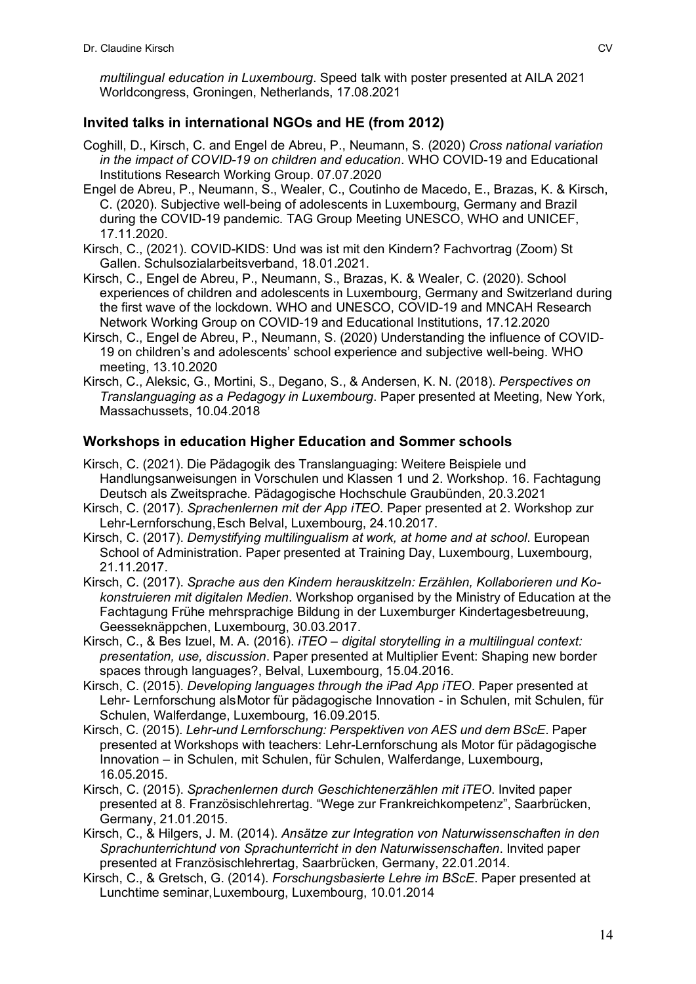*multilingual education in Luxembourg*. Speed talk with poster presented at AILA 2021 Worldcongress, Groningen, Netherlands, 17.08.2021

### **Invited talks in international NGOs and HE (from 2012)**

- Coghill, D., Kirsch, C. and Engel de Abreu, P., Neumann, S. (2020) *Cross national variation in the impact of COVID-19 on children and education*. WHO COVID-19 and Educational Institutions Research Working Group. 07.07.2020
- Engel de Abreu, P., Neumann, S., Wealer, C., Coutinho de Macedo, E., Brazas, K. & Kirsch, C. (2020). Subjective well-being of adolescents in Luxembourg, Germany and Brazil during the COVID-19 pandemic. TAG Group Meeting UNESCO, WHO and UNICEF, 17.11.2020.
- Kirsch, C., (2021). COVID-KIDS: Und was ist mit den Kindern? Fachvortrag (Zoom) St Gallen. Schulsozialarbeitsverband, 18.01.2021.
- Kirsch, C., Engel de Abreu, P., Neumann, S., Brazas, K. & Wealer, C. (2020). School experiences of children and adolescents in Luxembourg, Germany and Switzerland during the first wave of the lockdown. WHO and UNESCO, COVID-19 and MNCAH Research Network Working Group on COVID-19 and Educational Institutions, 17.12.2020
- Kirsch, C., Engel de Abreu, P., Neumann, S. (2020) Understanding the influence of COVID-19 on children's and adolescents' school experience and subjective well-being. WHO meeting, 13.10.2020
- Kirsch, C., Aleksic, G., Mortini, S., Degano, S., & Andersen, K. N. (2018). *Perspectives on Translanguaging as a Pedagogy in Luxembourg*. Paper presented at Meeting, New York, Massachussets, 10.04.2018

#### **Workshops in education Higher Education and Sommer schools**

- Kirsch, C. (2021). Die Pädagogik des Translanguaging: Weitere Beispiele und Handlungsanweisungen in Vorschulen und Klassen 1 und 2. Workshop. 16. Fachtagung Deutsch als Zweitsprache. Pädagogische Hochschule Graubünden, 20.3.2021
- Kirsch, C. (2017). *Sprachenlernen mit der App iTEO*. Paper presented at 2. Workshop zur Lehr-Lernforschung,Esch Belval, Luxembourg, 24.10.2017.
- Kirsch, C. (2017). *Demystifying multilingualism at work, at home and at school*. European School of Administration. Paper presented at Training Day, Luxembourg, Luxembourg, 21.11.2017.
- Kirsch, C. (2017). *Sprache aus den Kindern herauskitzeln: Erzählen, Kollaborieren und Kokonstruieren mit digitalen Medien*. Workshop organised by the Ministry of Education at the Fachtagung Frühe mehrsprachige Bildung in der Luxemburger Kindertagesbetreuung, Geesseknäppchen, Luxembourg, 30.03.2017.
- Kirsch, C., & Bes Izuel, M. A. (2016). *iTEO – digital storytelling in a multilingual context: presentation, use, discussion*. Paper presented at Multiplier Event: Shaping new border spaces through languages?, Belval, Luxembourg, 15.04.2016.
- Kirsch, C. (2015). *Developing languages through the iPad App iTEO*. Paper presented at Lehr- Lernforschung alsMotor für pädagogische Innovation - in Schulen, mit Schulen, für Schulen, Walferdange, Luxembourg, 16.09.2015.
- Kirsch, C. (2015). *Lehr-und Lernforschung: Perspektiven von AES und dem BScE*. Paper presented at Workshops with teachers: Lehr-Lernforschung als Motor für pädagogische Innovation – in Schulen, mit Schulen, für Schulen, Walferdange, Luxembourg, 16.05.2015.
- Kirsch, C. (2015). *Sprachenlernen durch Geschichtenerzählen mit iTEO*. Invited paper presented at 8. Französischlehrertag. "Wege zur Frankreichkompetenz", Saarbrücken, Germany, 21.01.2015.
- Kirsch, C., & Hilgers, J. M. (2014). *Ansätze zur Integration von Naturwissenschaften in den Sprachunterrichtund von Sprachunterricht in den Naturwissenschaften*. Invited paper presented at Französischlehrertag, Saarbrücken, Germany, 22.01.2014.
- Kirsch, C., & Gretsch, G. (2014). *Forschungsbasierte Lehre im BScE*. Paper presented at Lunchtime seminar,Luxembourg, Luxembourg, 10.01.2014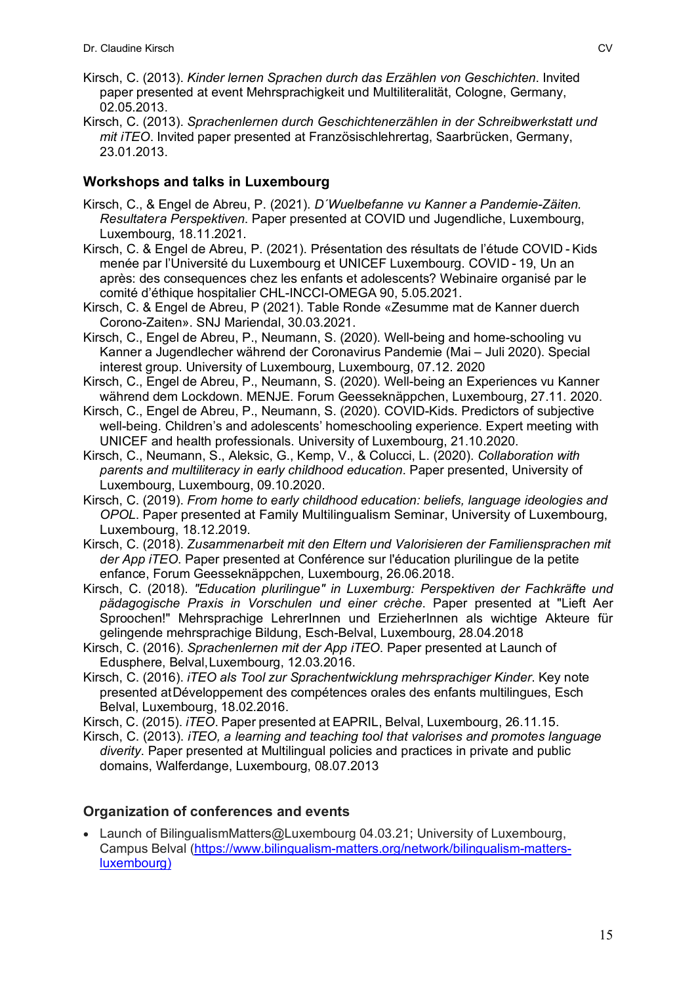- Kirsch, C. (2013). *Kinder lernen Sprachen durch das Erzählen von Geschichten*. Invited paper presented at event Mehrsprachigkeit und Multiliteralität, Cologne, Germany, 02.05.2013.
- Kirsch, C. (2013). *Sprachenlernen durch Geschichtenerzählen in der Schreibwerkstatt und mit iTEO*. Invited paper presented at Französischlehrertag, Saarbrücken, Germany, 23.01.2013.

#### **Workshops and talks in Luxembourg**

- Kirsch, C., & Engel de Abreu, P. (2021). *D´Wuelbefanne vu Kanner a Pandemie-Zäiten. Resultatera Perspektiven*. Paper presented at COVID und Jugendliche, Luxembourg, Luxembourg, 18.11.2021.
- Kirsch, C. & Engel de Abreu, P. (2021). Présentation des résultats de l'étude COVID - Kids menée par l'Université du Luxembourg et UNICEF Luxembourg. COVID - 19, Un an après: des consequences chez les enfants et adolescents? Webinaire organisé par le comité d'éthique hospitalier CHL-INCCI-OMEGA 90, 5.05.2021.
- Kirsch, C. & Engel de Abreu, P (2021). Table Ronde «Zesumme mat de Kanner duerch Corono-Zaiten». SNJ Mariendal, 30.03.2021.
- Kirsch, C., Engel de Abreu, P., Neumann, S. (2020). Well-being and home-schooling vu Kanner a Jugendlecher während der Coronavirus Pandemie (Mai – Juli 2020). Special interest group. University of Luxembourg, Luxembourg, 07.12. 2020
- Kirsch, C., Engel de Abreu, P., Neumann, S. (2020). Well-being an Experiences vu Kanner während dem Lockdown. MENJE. Forum Geesseknäppchen, Luxembourg, 27.11. 2020.
- Kirsch, C., Engel de Abreu, P., Neumann, S. (2020). COVID-Kids. Predictors of subjective well-being. Children's and adolescents' homeschooling experience. Expert meeting with UNICEF and health professionals. University of Luxembourg, 21.10.2020.
- Kirsch, C., Neumann, S., Aleksic, G., Kemp, V., & Colucci, L. (2020). *Collaboration with parents and multiliteracy in early childhood education*. Paper presented, University of Luxembourg, Luxembourg, 09.10.2020.
- Kirsch, C. (2019). *From home to early childhood education: beliefs, language ideologies and OPOL*. Paper presented at Family Multilingualism Seminar, University of Luxembourg, Luxembourg, 18.12.2019.
- Kirsch, C. (2018). *Zusammenarbeit mit den Eltern und Valorisieren der Familiensprachen mit der App iTEO*. Paper presented at Conférence sur l'éducation plurilingue de la petite enfance, Forum Geesseknäppchen*,* Luxembourg, 26.06.2018.
- Kirsch, C. (2018). *"Education plurilingue" in Luxemburg: Perspektiven der Fachkräfte und pädagogische Praxis in Vorschulen und einer crèche*. Paper presented at "Lieft Aer Sproochen!" Mehrsprachige LehrerInnen und ErzieherInnen als wichtige Akteure für gelingende mehrsprachige Bildung, Esch-Belval, Luxembourg, 28.04.2018
- Kirsch, C. (2016). *Sprachenlernen mit der App iTEO*. Paper presented at Launch of Edusphere, Belval,Luxembourg, 12.03.2016.
- Kirsch, C. (2016). *iTEO als Tool zur Sprachentwicklung mehrsprachiger Kinder*. Key note presented atDéveloppement des compétences orales des enfants multilingues, Esch Belval, Luxembourg, 18.02.2016.
- Kirsch, C. (2015). *iTEO*. Paper presented at EAPRIL, Belval, Luxembourg, 26.11.15.
- Kirsch, C. (2013). *iTEO, a learning and teaching tool that valorises and promotes language diverity*. Paper presented at Multilingual policies and practices in private and public domains, Walferdange, Luxembourg, 08.07.2013

#### **Organization of conferences and events**

• Launch of BilingualismMatters@Luxembourg 04.03.21; University of Luxembourg, Campus Belval (https://www.bilingualism-matters.org/network/bilingualism-mattersluxembourg)